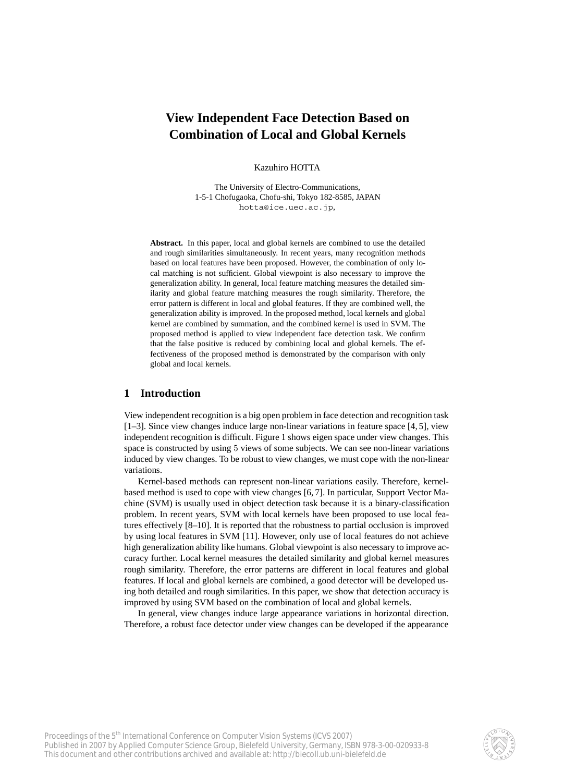# **View Independent Face Detection Based on Combination of Local and Global Kernels**

Kazuhiro HOTTA

The University of Electro-Communications, 1-5-1 Chofugaoka, Chofu-shi, Tokyo 182-8585, JAPAN hotta@ice.uec.ac.jp,

**Abstract.** In this paper, local and global kernels are combined to use the detailed and rough similarities simultaneously. In recent years, many recognition methods based on local features have been proposed. However, the combination of only local matching is not sufficient. Global viewpoint is also necessary to improve the generalization ability. In general, local feature matching measures the detailed similarity and global feature matching measures the rough similarity. Therefore, the error pattern is different in local and global features. If they are combined well, the generalization ability is improved. In the proposed method, local kernels and global kernel are combined by summation, and the combined kernel is used in SVM. The proposed method is applied to view independent face detection task. We confirm that the false positive is reduced by combining local and global kernels. The effectiveness of the proposed method is demonstrated by the comparison with only global and local kernels.

## **1 Introduction**

View independent recognition is a big open problem in face detection and recognition task [1–3]. Since view changes induce large non-linear variations in feature space [4, 5], view independent recognition is difficult. Figure 1 shows eigen space under view changes. This space is constructed by using 5 views of some subjects. We can see non-linear variations induced by view changes. To be robust to view changes, we must cope with the non-linear variations.

Kernel-based methods can represent non-linear variations easily. Therefore, kernelbased method is used to cope with view changes [6, 7]. In particular, Support Vector Machine (SVM) is usually used in object detection task because it is a binary-classification problem. In recent years, SVM with local kernels have been proposed to use local features effectively [8–10]. It is reported that the robustness to partial occlusion is improved by using local features in SVM [11]. However, only use of local features do not achieve high generalization ability like humans. Global viewpoint is also necessary to improve accuracy further. Local kernel measures the detailed similarity and global kernel measures rough similarity. Therefore, the error patterns are different in local features and global features. If local and global kernels are combined, a good detector will be developed using both detailed and rough similarities. In this paper, we show that detection accuracy is improved by using SVM based on the combination of local and global kernels.

In general, view changes induce large appearance variations in horizontal direction. Therefore, a robust face detector under view changes can be developed if the appearance

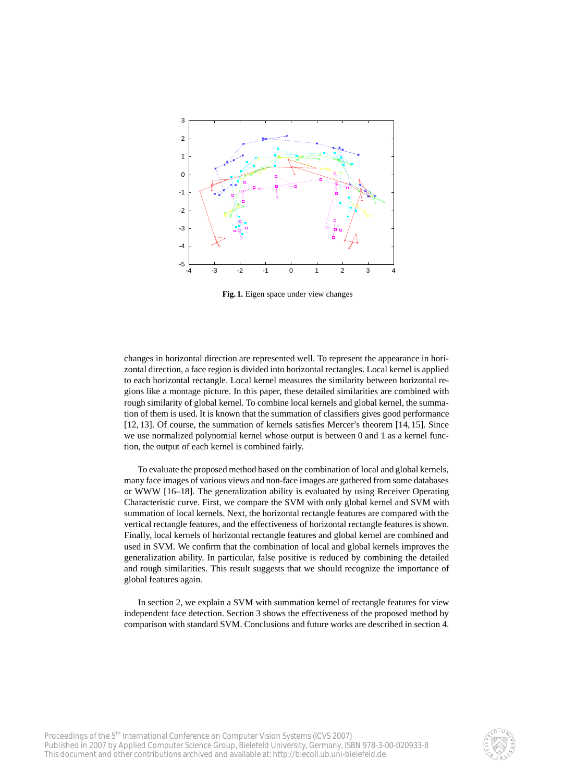

**Fig. 1.** Eigen space under view changes

changes in horizontal direction are represented well. To represent the appearance in horizontal direction, a face region is divided into horizontal rectangles. Local kernel is applied to each horizontal rectangle. Local kernel measures the similarity between horizontal regions like a montage picture. In this paper, these detailed similarities are combined with rough similarity of global kernel. To combine local kernels and global kernel, the summation of them is used. It is known that the summation of classifiers gives good performance [12, 13]. Of course, the summation of kernels satisfies Mercer's theorem [14, 15]. Since we use normalized polynomial kernel whose output is between 0 and 1 as a kernel function, the output of each kernel is combined fairly.

To evaluate the proposed method based on the combination of local and global kernels, many face images of various views and non-face images are gathered from some databases or WWW [16–18]. The generalization ability is evaluated by using Receiver Operating Characteristic curve. First, we compare the SVM with only global kernel and SVM with summation of local kernels. Next, the horizontal rectangle features are compared with the vertical rectangle features, and the effectiveness of horizontal rectangle features is shown. Finally, local kernels of horizontal rectangle features and global kernel are combined and used in SVM. We confirm that the combination of local and global kernels improves the generalization ability. In particular, false positive is reduced by combining the detailed and rough similarities. This result suggests that we should recognize the importance of global features again.

In section 2, we explain a SVM with summation kernel of rectangle features for view independent face detection. Section 3 shows the effectiveness of the proposed method by comparison with standard SVM. Conclusions and future works are described in section 4.

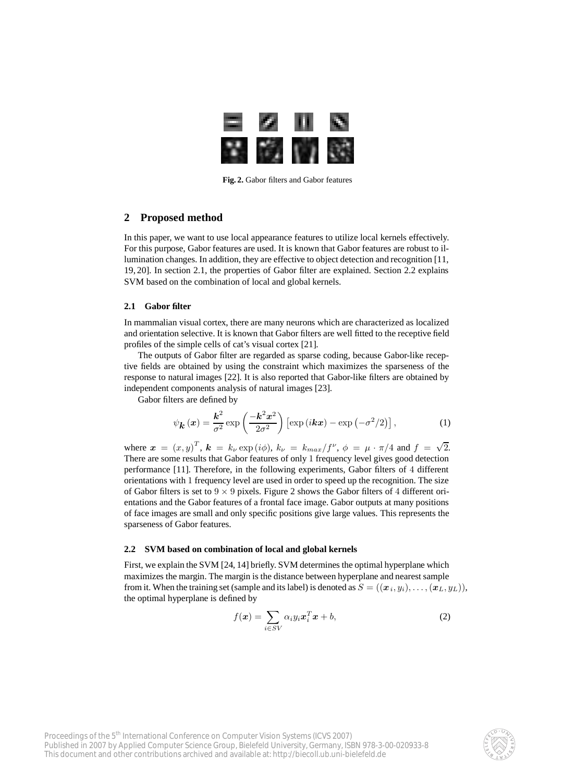

**Fig. 2.** Gabor filters and Gabor features

## **2 Proposed method**

In this paper, we want to use local appearance features to utilize local kernels effectively. For this purpose, Gabor features are used. It is known that Gabor features are robust to illumination changes. In addition, they are effective to object detection and recognition [11, 19, 20]. In section 2.1, the properties of Gabor filter are explained. Section 2.2 explains SVM based on the combination of local and global kernels.

### **2.1 Gabor filter**

In mammalian visual cortex, there are many neurons which are characterized as localized and orientation selective. It is known that Gabor filters are well fitted to the receptive field profiles of the simple cells of cat's visual cortex [21].

The outputs of Gabor filter are regarded as sparse coding, because Gabor-like receptive fields are obtained by using the constraint which maximizes the sparseness of the response to natural images [22]. It is also reported that Gabor-like filters are obtained by independent components analysis of natural images [23].

Gabor filters are defined by

$$
\psi_{\mathbf{k}}\left(\mathbf{x}\right) = \frac{\mathbf{k}^2}{\sigma^2} \exp\left(\frac{-\mathbf{k}^2 \mathbf{x}^2}{2\sigma^2}\right) \left[\exp\left(i\mathbf{kx}\right) - \exp\left(-\sigma^2/2\right)\right],\tag{1}
$$

where  $\mathbf{x} = (x, y)^T$ ,  $\mathbf{k} = k_{\nu} \exp(i\phi)$ ,  $k_{\nu} = k_{max}/f^{\nu}$ ,  $\phi = \mu \cdot \pi/4$  and  $f = \sqrt{2}$ . There are some results that Gabor features of only 1 frequency level gives good detection performance [11]. Therefore, in the following experiments, Gabor filters of 4 different orientations with 1 frequency level are used in order to speed up the recognition. The size of Gabor filters is set to  $9 \times 9$  pixels. Figure 2 shows the Gabor filters of 4 different orientations and the Gabor features of a frontal face image. Gabor outputs at many positions of face images are small and only specific positions give large values. This represents the sparseness of Gabor features.

#### **2.2 SVM based on combination of local and global kernels**

First, we explain the SVM [24, 14] briefly. SVM determines the optimal hyperplane which maximizes the margin. The margin is the distance between hyperplane and nearest sample from it. When the training set (sample and its label) is denoted as  $S = ((x_i, y_i), \ldots, (x_L, y_L)),$ the optimal hyperplane is defined by

$$
f(\boldsymbol{x}) = \sum_{i \in SV} \alpha_i y_i \boldsymbol{x}_i^T \boldsymbol{x} + b,\tag{2}
$$

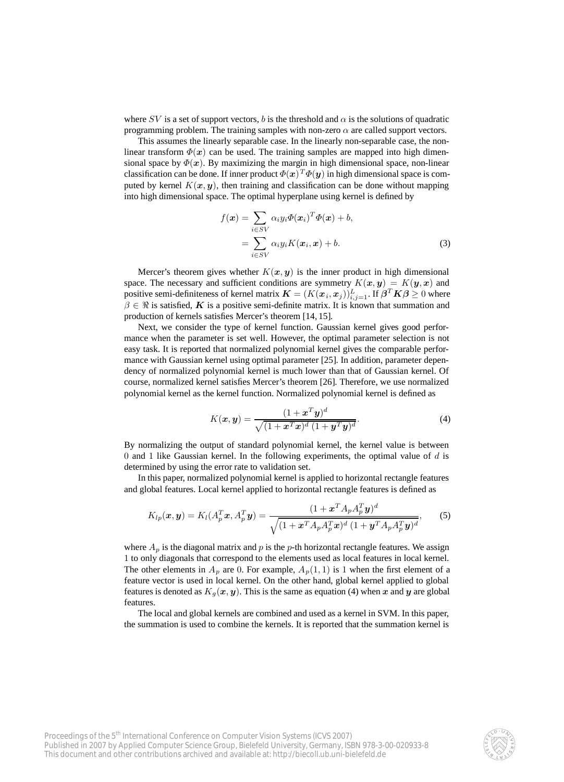where SV is a set of support vectors, b is the threshold and  $\alpha$  is the solutions of quadratic programming problem. The training samples with non-zero  $\alpha$  are called support vectors.

This assumes the linearly separable case. In the linearly non-separable case, the nonlinear transform  $\Phi(x)$  can be used. The training samples are mapped into high dimensional space by  $\Phi(x)$ . By maximizing the margin in high dimensional space, non-linear classification can be done. If inner product  $\Phi(x)^T \Phi(y)$  in high dimensional space is computed by kernel  $K(x, y)$ , then training and classification can be done without mapping into high dimensional space. The optimal hyperplane using kernel is defined by

$$
f(\boldsymbol{x}) = \sum_{i \in SV} \alpha_i y_i \Phi(\boldsymbol{x}_i)^T \Phi(\boldsymbol{x}) + b,
$$
  
= 
$$
\sum_{i \in SV} \alpha_i y_i K(\boldsymbol{x}_i, \boldsymbol{x}) + b.
$$
 (3)

Mercer's theorem gives whether  $K(x, y)$  is the inner product in high dimensional space. The necessary and sufficient conditions are symmetry  $K(x, y) = K(y, x)$  and positive semi-definiteness of kernel matrix  $\mathbf{K} = (K(\mathbf{x}_i, \mathbf{x}_j))_{i,j=1}^L$ . If  $\boldsymbol{\beta}^T \mathbf{K} \boldsymbol{\beta} \ge 0$  where  $\beta \in \Re$  is satisfied, *K* is a positive semi-definite matrix. It is known that summation and production of kernels satisfies Mercer's theorem [14, 15].

Next, we consider the type of kernel function. Gaussian kernel gives good performance when the parameter is set well. However, the optimal parameter selection is not easy task. It is reported that normalized polynomial kernel gives the comparable performance with Gaussian kernel using optimal parameter [25]. In addition, parameter dependency of normalized polynomial kernel is much lower than that of Gaussian kernel. Of course, normalized kernel satisfies Mercer's theorem [26]. Therefore, we use normalized polynomial kernel as the kernel function. Normalized polynomial kernel is defined as

$$
K(\boldsymbol{x}, \boldsymbol{y}) = \frac{(1 + \boldsymbol{x}^T \boldsymbol{y})^d}{\sqrt{(1 + \boldsymbol{x}^T \boldsymbol{x})^d (1 + \boldsymbol{y}^T \boldsymbol{y})^d}}.
$$
(4)

By normalizing the output of standard polynomial kernel, the kernel value is between 0 and 1 like Gaussian kernel. In the following experiments, the optimal value of  $d$  is determined by using the error rate to validation set.

In this paper, normalized polynomial kernel is applied to horizontal rectangle features and global features. Local kernel applied to horizontal rectangle features is defined as

$$
K_{lp}(\boldsymbol{x}, \boldsymbol{y}) = K_l(A_p^T \boldsymbol{x}, A_p^T \boldsymbol{y}) = \frac{(1 + \boldsymbol{x}^T A_p A_p^T \boldsymbol{y})^d}{\sqrt{(1 + \boldsymbol{x}^T A_p A_p^T \boldsymbol{x})^d (1 + \boldsymbol{y}^T A_p A_p^T \boldsymbol{y})^d}},
$$
(5)

where  $A_p$  is the diagonal matrix and p is the p-th horizontal rectangle features. We assign 1 to only diagonals that correspond to the elements used as local features in local kernel. The other elements in  $A_p$  are 0. For example,  $A_p(1,1)$  is 1 when the first element of a feature vector is used in local kernel. On the other hand, global kernel applied to global features is denoted as  $K_g(x, y)$ . This is the same as equation (4) when x and y are global features.

The local and global kernels are combined and used as a kernel in SVM. In this paper, the summation is used to combine the kernels. It is reported that the summation kernel is

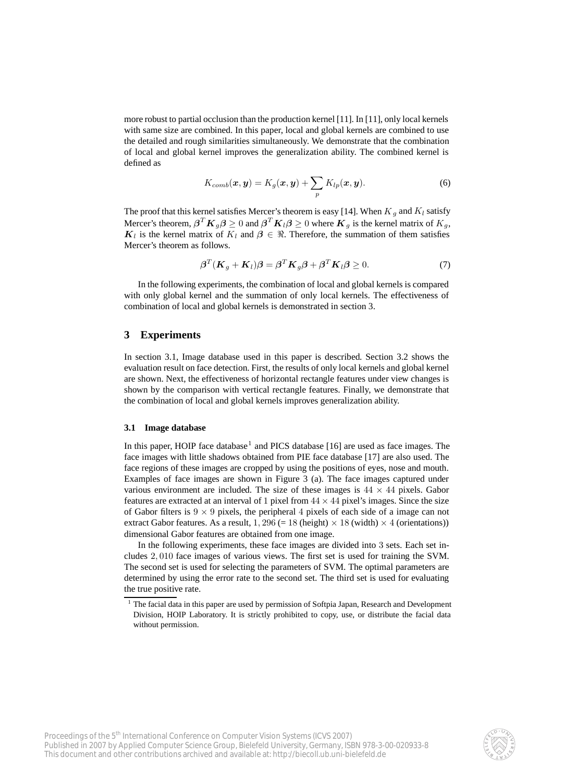more robust to partial occlusion than the production kernel [11]. In [11], only local kernels with same size are combined. In this paper, local and global kernels are combined to use the detailed and rough similarities simultaneously. We demonstrate that the combination of local and global kernel improves the generalization ability. The combined kernel is defined as

$$
K_{comb}(\boldsymbol{x}, \boldsymbol{y}) = K_g(\boldsymbol{x}, \boldsymbol{y}) + \sum_p K_{lp}(\boldsymbol{x}, \boldsymbol{y}).
$$
 (6)

The proof that this kernel satisfies Mercer's theorem is easy [14]. When  $K_g$  and  $K_l$  satisfy Mercer's theorem,  $\beta^T K_g \beta \ge 0$  and  $\beta^T K_i \beta \ge 0$  where  $K_g$  is the kernel matrix of  $K_g$ ,  $K_l$  is the kernel matrix of  $K_l$  and  $\beta \in \Re$ . Therefore, the summation of them satisfies Mercer's theorem as follows.

$$
\boldsymbol{\beta}^T(\boldsymbol{K}_g + \boldsymbol{K}_l)\boldsymbol{\beta} = \boldsymbol{\beta}^T\boldsymbol{K}_g\boldsymbol{\beta} + \boldsymbol{\beta}^T\boldsymbol{K}_l\boldsymbol{\beta} \geq 0. \tag{7}
$$

In the following experiments, the combination of local and global kernels is compared with only global kernel and the summation of only local kernels. The effectiveness of combination of local and global kernels is demonstrated in section 3.

## **3 Experiments**

In section 3.1, Image database used in this paper is described. Section 3.2 shows the evaluation result on face detection. First, the results of only local kernels and global kernel are shown. Next, the effectiveness of horizontal rectangle features under view changes is shown by the comparison with vertical rectangle features. Finally, we demonstrate that the combination of local and global kernels improves generalization ability.

### **3.1 Image database**

In this paper, HOIP face database<sup>1</sup> and PICS database [16] are used as face images. The face images with little shadows obtained from PIE face database [17] are also used. The face regions of these images are cropped by using the positions of eyes, nose and mouth. Examples of face images are shown in Figure 3 (a). The face images captured under various environment are included. The size of these images is  $44 \times 44$  pixels. Gabor features are extracted at an interval of 1 pixel from  $44 \times 44$  pixel's images. Since the size of Gabor filters is  $9 \times 9$  pixels, the peripheral 4 pixels of each side of a image can not extract Gabor features. As a result,  $1,296 (= 18$  (height)  $\times$  18 (width)  $\times$  4 (orientations)) dimensional Gabor features are obtained from one image.

In the following experiments, these face images are divided into 3 sets. Each set includes 2, 010 face images of various views. The first set is used for training the SVM. The second set is used for selecting the parameters of SVM. The optimal parameters are determined by using the error rate to the second set. The third set is used for evaluating the true positive rate.



 $1$  The facial data in this paper are used by permission of Softpia Japan, Research and Development Division, HOIP Laboratory. It is strictly prohibited to copy, use, or distribute the facial data without permission.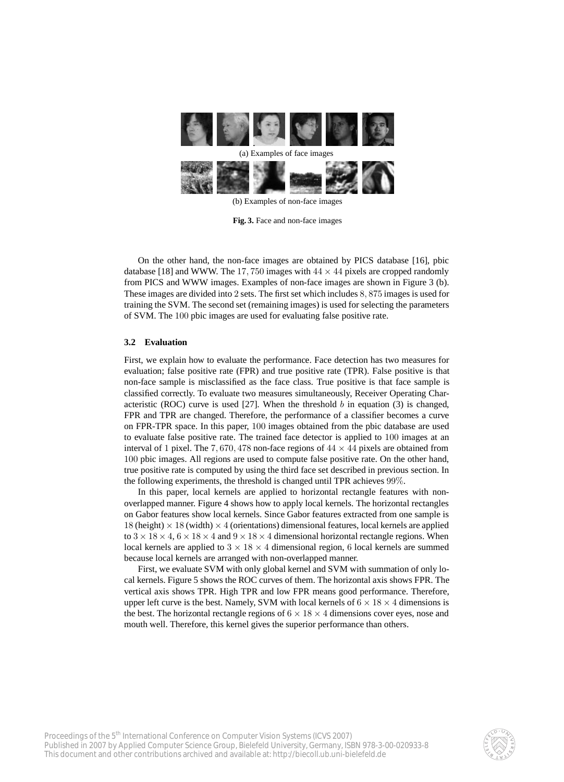

(b) Examples of non-face images

**Fig. 3.** Face and non-face images

On the other hand, the non-face images are obtained by PICS database [16], pbic database [18] and WWW. The 17, 750 images with  $44 \times 44$  pixels are cropped randomly from PICS and WWW images. Examples of non-face images are shown in Figure 3 (b). These images are divided into 2 sets. The first set which includes 8, 875 images is used for training the SVM. The second set (remaining images) is used for selecting the parameters of SVM. The 100 pbic images are used for evaluating false positive rate.

#### **3.2 Evaluation**

First, we explain how to evaluate the performance. Face detection has two measures for evaluation; false positive rate (FPR) and true positive rate (TPR). False positive is that non-face sample is misclassified as the face class. True positive is that face sample is classified correctly. To evaluate two measures simultaneously, Receiver Operating Characteristic (ROC) curve is used [27]. When the threshold  $b$  in equation (3) is changed, FPR and TPR are changed. Therefore, the performance of a classifier becomes a curve on FPR-TPR space. In this paper, 100 images obtained from the pbic database are used to evaluate false positive rate. The trained face detector is applied to 100 images at an interval of 1 pixel. The 7,670, 478 non-face regions of  $44 \times 44$  pixels are obtained from 100 pbic images. All regions are used to compute false positive rate. On the other hand, true positive rate is computed by using the third face set described in previous section. In the following experiments, the threshold is changed until TPR achieves 99%.

In this paper, local kernels are applied to horizontal rectangle features with nonoverlapped manner. Figure 4 shows how to apply local kernels. The horizontal rectangles on Gabor features show local kernels. Since Gabor features extracted from one sample is 18 (height)  $\times$  18 (width)  $\times$  4 (orientations) dimensional features, local kernels are applied to  $3 \times 18 \times 4$ ,  $6 \times 18 \times 4$  and  $9 \times 18 \times 4$  dimensional horizontal rectangle regions. When local kernels are applied to  $3 \times 18 \times 4$  dimensional region, 6 local kernels are summed because local kernels are arranged with non-overlapped manner.

First, we evaluate SVM with only global kernel and SVM with summation of only local kernels. Figure 5 shows the ROC curves of them. The horizontal axis shows FPR. The vertical axis shows TPR. High TPR and low FPR means good performance. Therefore, upper left curve is the best. Namely, SVM with local kernels of  $6 \times 18 \times 4$  dimensions is the best. The horizontal rectangle regions of  $6 \times 18 \times 4$  dimensions cover eyes, nose and mouth well. Therefore, this kernel gives the superior performance than others.

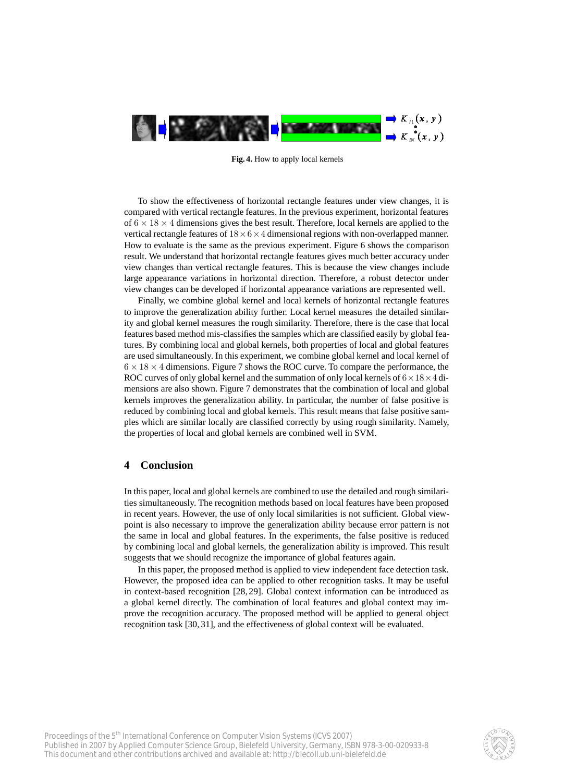

**Fig. 4.** How to apply local kernels

To show the effectiveness of horizontal rectangle features under view changes, it is compared with vertical rectangle features. In the previous experiment, horizontal features of  $6 \times 18 \times 4$  dimensions gives the best result. Therefore, local kernels are applied to the vertical rectangle features of  $18 \times 6 \times 4$  dimensional regions with non-overlapped manner. How to evaluate is the same as the previous experiment. Figure 6 shows the comparison result. We understand that horizontal rectangle features gives much better accuracy under view changes than vertical rectangle features. This is because the view changes include large appearance variations in horizontal direction. Therefore, a robust detector under view changes can be developed if horizontal appearance variations are represented well.

Finally, we combine global kernel and local kernels of horizontal rectangle features to improve the generalization ability further. Local kernel measures the detailed similarity and global kernel measures the rough similarity. Therefore, there is the case that local features based method mis-classifies the samples which are classified easily by global features. By combining local and global kernels, both properties of local and global features are used simultaneously. In this experiment, we combine global kernel and local kernel of  $6 \times 18 \times 4$  dimensions. Figure 7 shows the ROC curve. To compare the performance, the ROC curves of only global kernel and the summation of only local kernels of  $6 \times 18 \times 4$  dimensions are also shown. Figure 7 demonstrates that the combination of local and global kernels improves the generalization ability. In particular, the number of false positive is reduced by combining local and global kernels. This result means that false positive samples which are similar locally are classified correctly by using rough similarity. Namely, the properties of local and global kernels are combined well in SVM.

# **4 Conclusion**

In this paper, local and global kernels are combined to use the detailed and rough similarities simultaneously. The recognition methods based on local features have been proposed in recent years. However, the use of only local similarities is not sufficient. Global viewpoint is also necessary to improve the generalization ability because error pattern is not the same in local and global features. In the experiments, the false positive is reduced by combining local and global kernels, the generalization ability is improved. This result suggests that we should recognize the importance of global features again.

In this paper, the proposed method is applied to view independent face detection task. However, the proposed idea can be applied to other recognition tasks. It may be useful in context-based recognition [28, 29]. Global context information can be introduced as a global kernel directly. The combination of local features and global context may improve the recognition accuracy. The proposed method will be applied to general object recognition task [30, 31], and the effectiveness of global context will be evaluated.

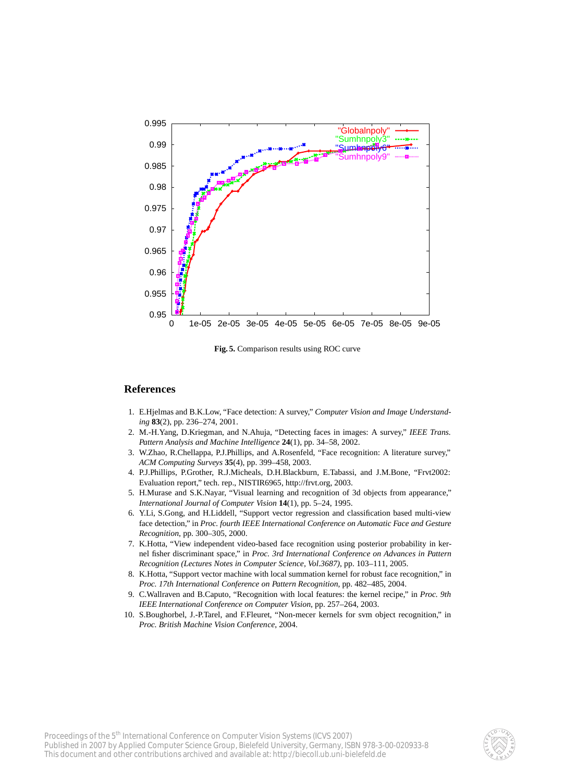

**Fig. 5.** Comparison results using ROC curve

## **References**

- 1. E.Hjelmas and B.K.Low, "Face detection: A survey," *Computer Vision and Image Understanding* **83**(2), pp. 236–274, 2001.
- 2. M.-H.Yang, D.Kriegman, and N.Ahuja, "Detecting faces in images: A survey," *IEEE Trans. Pattern Analysis and Machine Intelligence* **24**(1), pp. 34–58, 2002.
- 3. W.Zhao, R.Chellappa, P.J.Phillips, and A.Rosenfeld, "Face recognition: A literature survey," *ACM Computing Surveys* **35**(4), pp. 399–458, 2003.
- 4. P.J.Phillips, P.Grother, R.J.Micheals, D.H.Blackburn, E.Tabassi, and J.M.Bone, "Frvt2002: Evaluation report," tech. rep., NISTIR6965, http://frvt.org, 2003.
- 5. H.Murase and S.K.Nayar, "Visual learning and recognition of 3d objects from appearance," *International Journal of Computer Vision* **14**(1), pp. 5–24, 1995.
- 6. Y.Li, S.Gong, and H.Liddell, "Support vector regression and classification based multi-view face detection," in *Proc. fourth IEEE International Conference on Automatic Face and Gesture Recognition*, pp. 300–305, 2000.
- 7. K.Hotta, "View independent video-based face recognition using posterior probability in kernel fisher discriminant space," in *Proc. 3rd International Conference on Advances in Pattern Recognition (Lectures Notes in Computer Science, Vol.3687)*, pp. 103–111, 2005.
- 8. K.Hotta, "Support vector machine with local summation kernel for robust face recognition," in *Proc. 17th International Conference on Pattern Recognition*, pp. 482–485, 2004.
- 9. C.Wallraven and B.Caputo, "Recognition with local features: the kernel recipe," in *Proc. 9th IEEE International Conference on Computer Vision*, pp. 257–264, 2003.
- 10. S.Boughorbel, J.-P.Tarel, and F.Fleuret, "Non-mecer kernels for svm object recognition," in *Proc. British Machine Vision Conference*, 2004.

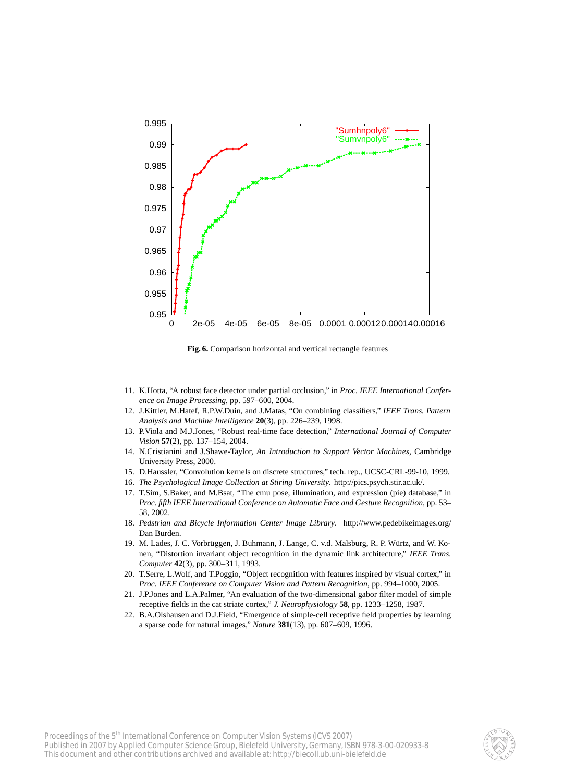

**Fig. 6.** Comparison horizontal and vertical rectangle features

- 11. K.Hotta, "A robust face detector under partial occlusion," in *Proc. IEEE International Conference on Image Processing*, pp. 597–600, 2004.
- 12. J.Kittler, M.Hatef, R.P.W.Duin, and J.Matas, "On combining classifiers," *IEEE Trans. Pattern Analysis and Machine Intelligence* **20**(3), pp. 226–239, 1998.
- 13. P.Viola and M.J.Jones, "Robust real-time face detection," *International Journal of Computer Vision* **57**(2), pp. 137–154, 2004.
- 14. N.Cristianini and J.Shawe-Taylor, *An Introduction to Support Vector Machines*, Cambridge University Press, 2000.
- 15. D.Haussler, "Convolution kernels on discrete structures," tech. rep., UCSC-CRL-99-10, 1999.
- 16. *The Psychological Image Collection at Stiring University*. http://pics.psych.stir.ac.uk/.
- 17. T.Sim, S.Baker, and M.Bsat, "The cmu pose, illumination, and expression (pie) database," in *Proc. fifth IEEE International Conference on Automatic Face and Gesture Recognition*, pp. 53– 58, 2002.
- 18. *Pedstrian and Bicycle Information Center Image Library*. http://www.pedebikeimages.org/ Dan Burden.
- 19. M. Lades, J. C. Vorbrüggen, J. Buhmann, J. Lange, C. v.d. Malsburg, R. P. Würtz, and W. Konen, "Distortion invariant object recognition in the dynamic link architecture," *IEEE Trans. Computer* **42**(3), pp. 300–311, 1993.
- 20. T.Serre, L.Wolf, and T.Poggio, "Object recognition with features inspired by visual cortex," in *Proc. IEEE Conference on Computer Vision and Pattern Recognition*, pp. 994–1000, 2005.
- 21. J.P.Jones and L.A.Palmer, "An evaluation of the two-dimensional gabor filter model of simple receptive fields in the cat striate cortex," *J. Neurophysiology* **58**, pp. 1233–1258, 1987.
- 22. B.A.Olshausen and D.J.Field, "Emergence of simple-cell receptive field properties by learning a sparse code for natural images," *Nature* **381**(13), pp. 607–609, 1996.